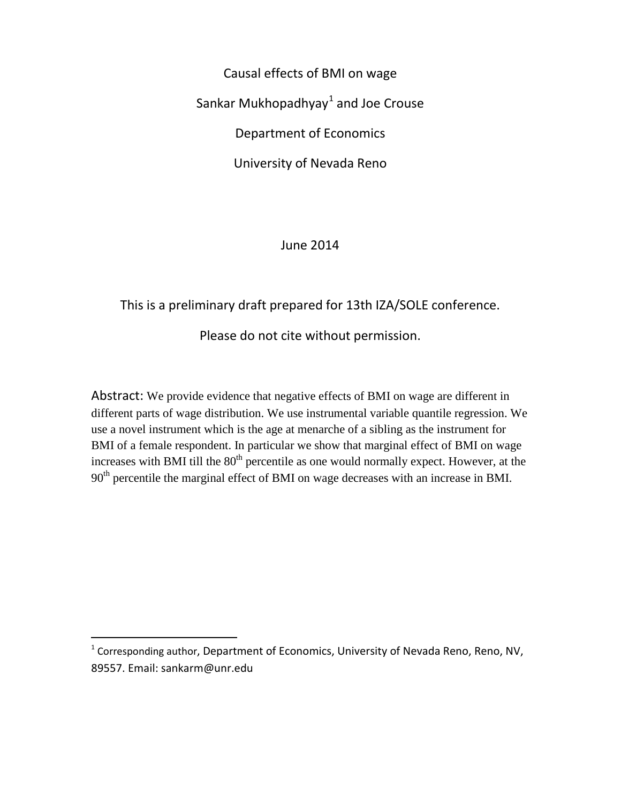Causal effects of BMI on wage Sankar Mukhopadhyay $^1$  $^1$  and Joe Crouse Department of Economics University of Nevada Reno

June 2014

# This is a preliminary draft prepared for 13th IZA/SOLE conference. Please do not cite without permission.

Abstract: We provide evidence that negative effects of BMI on wage are different in different parts of wage distribution. We use instrumental variable quantile regression. We use a novel instrument which is the age at menarche of a sibling as the instrument for BMI of a female respondent. In particular we show that marginal effect of BMI on wage increases with BMI till the  $80<sup>th</sup>$  percentile as one would normally expect. However, at the 90<sup>th</sup> percentile the marginal effect of BMI on wage decreases with an increase in BMI.

<span id="page-0-0"></span><sup>1</sup> Corresponding author, Department of Economics, University of Nevada Reno, Reno, NV, 89557. Email: sankarm@unr.edu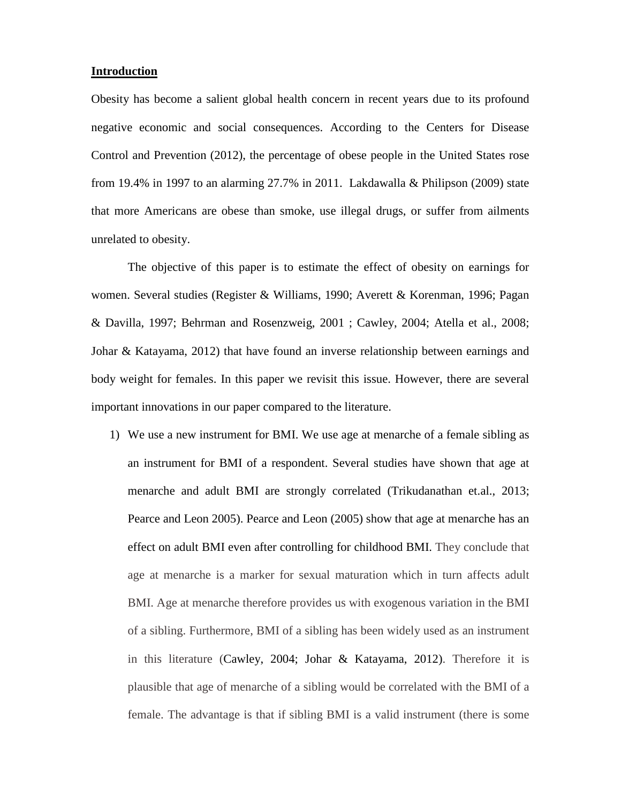#### **Introduction**

Obesity has become a salient global health concern in recent years due to its profound negative economic and social consequences. According to the Centers for Disease Control and Prevention (2012), the percentage of obese people in the United States rose from 19.4% in 1997 to an alarming 27.7% in 2011. Lakdawalla & Philipson (2009) state that more Americans are obese than smoke, use illegal drugs, or suffer from ailments unrelated to obesity.

The objective of this paper is to estimate the effect of obesity on earnings for women. Several studies (Register & Williams, 1990; Averett & Korenman, 1996; Pagan & Davilla, 1997; Behrman and Rosenzweig, 2001 ; Cawley, 2004; Atella et al., 2008; Johar & Katayama, 2012) that have found an inverse relationship between earnings and body weight for females. In this paper we revisit this issue. However, there are several important innovations in our paper compared to the literature.

1) We use a new instrument for BMI. We use age at menarche of a female sibling as an instrument for BMI of a respondent. Several studies have shown that age at menarche and adult BMI are strongly correlated (Trikudanathan et.al., 2013; Pearce and Leon 2005). Pearce and Leon (2005) show that age at menarche has an effect on adult BMI even after controlling for childhood BMI. They conclude that age at menarche is a marker for sexual maturation which in turn affects adult BMI. Age at menarche therefore provides us with exogenous variation in the BMI of a sibling. Furthermore, BMI of a sibling has been widely used as an instrument in this literature (Cawley, 2004; Johar & Katayama, 2012). Therefore it is plausible that age of menarche of a sibling would be correlated with the BMI of a female. The advantage is that if sibling BMI is a valid instrument (there is some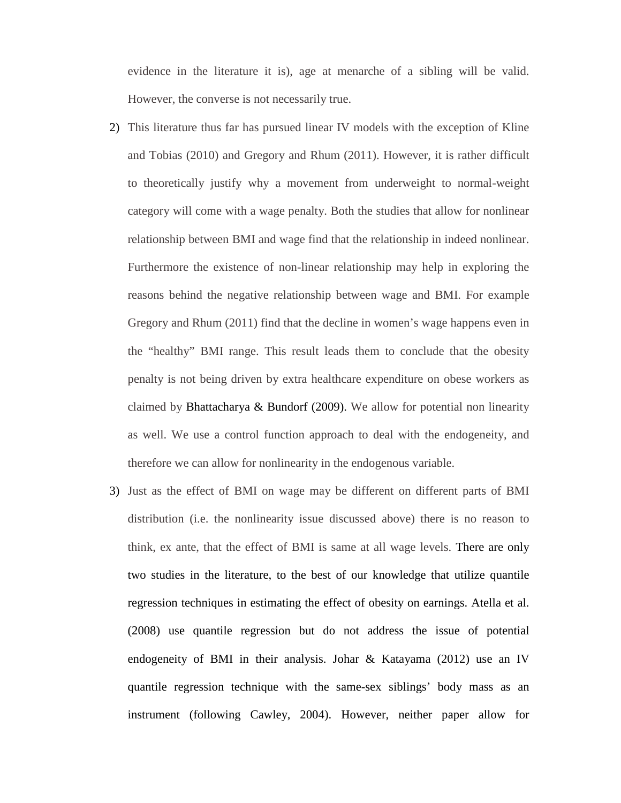evidence in the literature it is), age at menarche of a sibling will be valid. However, the converse is not necessarily true.

- 2) This literature thus far has pursued linear IV models with the exception of Kline and Tobias (2010) and Gregory and Rhum (2011). However, it is rather difficult to theoretically justify why a movement from underweight to normal-weight category will come with a wage penalty. Both the studies that allow for nonlinear relationship between BMI and wage find that the relationship in indeed nonlinear. Furthermore the existence of non-linear relationship may help in exploring the reasons behind the negative relationship between wage and BMI. For example Gregory and Rhum (2011) find that the decline in women's wage happens even in the "healthy" BMI range. This result leads them to conclude that the obesity penalty is not being driven by extra healthcare expenditure on obese workers as claimed by Bhattacharya & Bundorf (2009). We allow for potential non linearity as well. We use a control function approach to deal with the endogeneity, and therefore we can allow for nonlinearity in the endogenous variable.
- 3) Just as the effect of BMI on wage may be different on different parts of BMI distribution (i.e. the nonlinearity issue discussed above) there is no reason to think, ex ante, that the effect of BMI is same at all wage levels. There are only two studies in the literature, to the best of our knowledge that utilize quantile regression techniques in estimating the effect of obesity on earnings. Atella et al. (2008) use quantile regression but do not address the issue of potential endogeneity of BMI in their analysis. Johar & Katayama (2012) use an IV quantile regression technique with the same-sex siblings' body mass as an instrument (following Cawley, 2004). However, neither paper allow for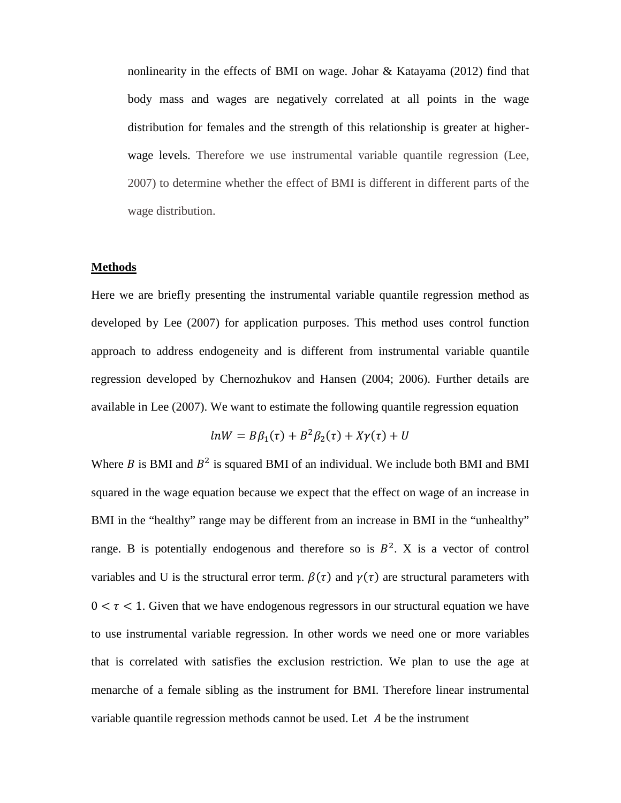nonlinearity in the effects of BMI on wage. Johar & Katayama (2012) find that body mass and wages are negatively correlated at all points in the wage distribution for females and the strength of this relationship is greater at higherwage levels. Therefore we use instrumental variable quantile regression (Lee, 2007) to determine whether the effect of BMI is different in different parts of the wage distribution.

## **Methods**

Here we are briefly presenting the instrumental variable quantile regression method as developed by Lee (2007) for application purposes. This method uses control function approach to address endogeneity and is different from instrumental variable quantile regression developed by Chernozhukov and Hansen (2004; 2006). Further details are available in Lee (2007). We want to estimate the following quantile regression equation

$$
lnW = B\beta_1(\tau) + B^2\beta_2(\tau) + X\gamma(\tau) + U
$$

Where B is BMI and  $B^2$  is squared BMI of an individual. We include both BMI and BMI squared in the wage equation because we expect that the effect on wage of an increase in BMI in the "healthy" range may be different from an increase in BMI in the "unhealthy" range. B is potentially endogenous and therefore so is  $B^2$ . X is a vector of control variables and U is the structural error term.  $\beta(\tau)$  and  $\gamma(\tau)$  are structural parameters with  $0 < \tau < 1$ . Given that we have endogenous regressors in our structural equation we have to use instrumental variable regression. In other words we need one or more variables that is correlated with satisfies the exclusion restriction. We plan to use the age at menarche of a female sibling as the instrument for BMI. Therefore linear instrumental variable quantile regression methods cannot be used. Let  $A$  be the instrument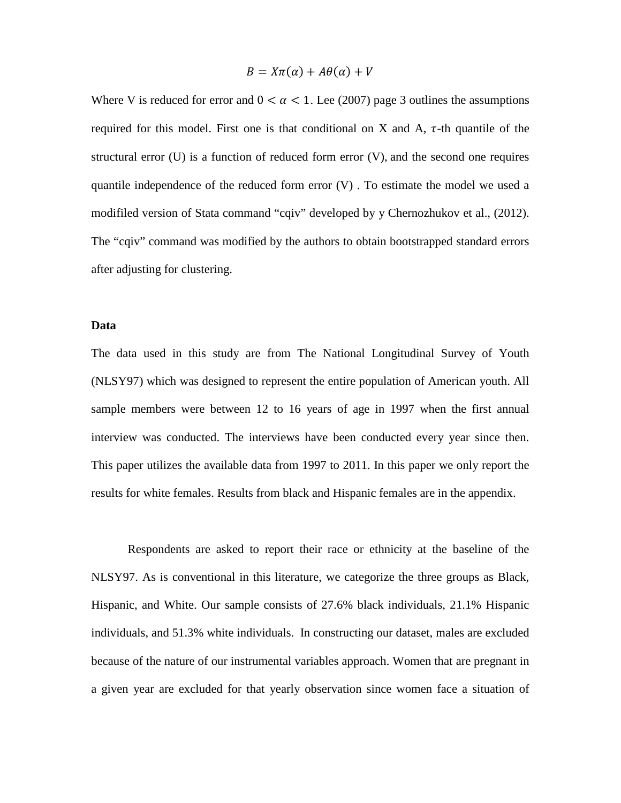$$
B = X\pi(\alpha) + A\theta(\alpha) + V
$$

Where V is reduced for error and  $0 < \alpha < 1$ . Lee (2007) page 3 outlines the assumptions required for this model. First one is that conditional on X and A,  $\tau$ -th quantile of the structural error (U) is a function of reduced form error (V), and the second one requires quantile independence of the reduced form error  $(V)$ . To estimate the model we used a modifiled version of Stata command "cqiv" developed by y Chernozhukov et al., (2012). The "cqiv" command was modified by the authors to obtain bootstrapped standard errors after adjusting for clustering.

#### **Data**

The data used in this study are from The National Longitudinal Survey of Youth (NLSY97) which was designed to represent the entire population of American youth. All sample members were between 12 to 16 years of age in 1997 when the first annual interview was conducted. The interviews have been conducted every year since then. This paper utilizes the available data from 1997 to 2011. In this paper we only report the results for white females. Results from black and Hispanic females are in the appendix.

Respondents are asked to report their race or ethnicity at the baseline of the NLSY97. As is conventional in this literature, we categorize the three groups as Black, Hispanic, and White. Our sample consists of 27.6% black individuals, 21.1% Hispanic individuals, and 51.3% white individuals. In constructing our dataset, males are excluded because of the nature of our instrumental variables approach. Women that are pregnant in a given year are excluded for that yearly observation since women face a situation of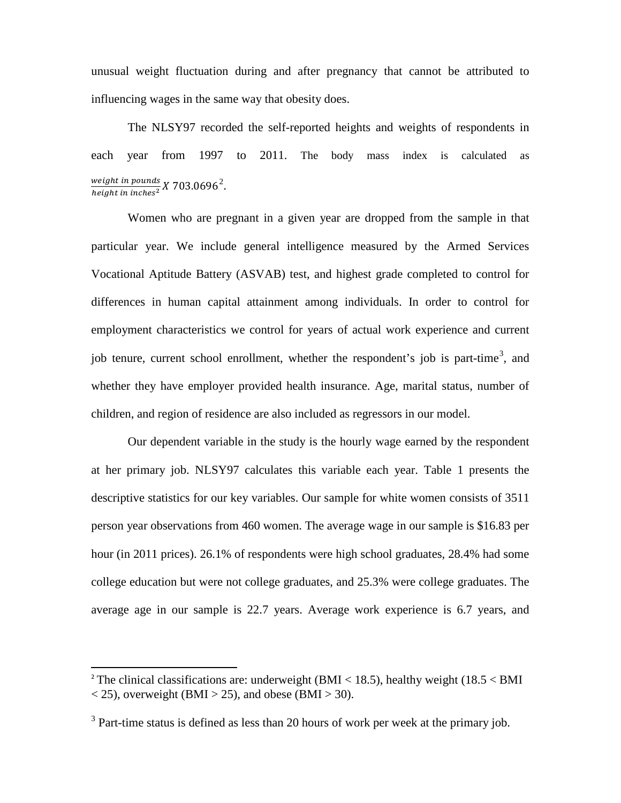unusual weight fluctuation during and after pregnancy that cannot be attributed to influencing wages in the same way that obesity does.

The NLSY97 recorded the self-reported heights and weights of respondents in each year from 1997 to 2011. The body mass index is calculated as weight in pounds<br>height in inches<sup>2</sup> X 703.0696<sup>2</sup>.

Women who are pregnant in a given year are dropped from the sample in that particular year. We include general intelligence measured by the Armed Services Vocational Aptitude Battery (ASVAB) test, and highest grade completed to control for differences in human capital attainment among individuals. In order to control for employment characteristics we control for years of actual work experience and current job tenure, current school enrollment, whether the respondent's job is part-time<sup>[3](#page-5-0)</sup>, and whether they have employer provided health insurance. Age, marital status, number of children, and region of residence are also included as regressors in our model.

Our dependent variable in the study is the hourly wage earned by the respondent at her primary job. NLSY97 calculates this variable each year. Table 1 presents the descriptive statistics for our key variables. Our sample for white women consists of 3511 person year observations from 460 women. The average wage in our sample is \$16.83 per hour (in 2011 prices). 26.1% of respondents were high school graduates, 28.4% had some college education but were not college graduates, and 25.3% were college graduates. The average age in our sample is 22.7 years. Average work experience is 6.7 years, and

<sup>&</sup>lt;sup>2</sup> The clinical classifications are: underweight (BMI < 18.5), healthy weight (18.5 < BMI  $<$  25), overweight (BMI  $>$  25), and obese (BMI  $>$  30).

<span id="page-5-0"></span> $3$  Part-time status is defined as less than 20 hours of work per week at the primary job.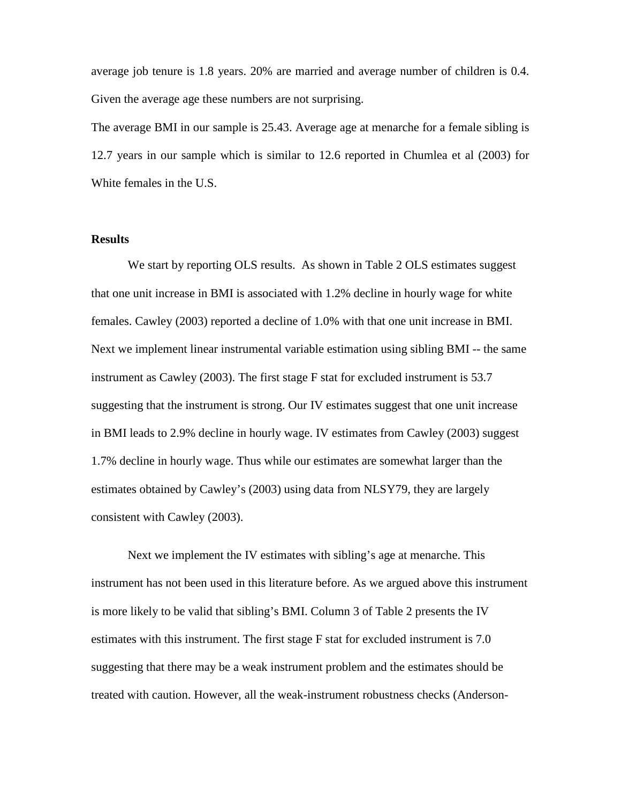average job tenure is 1.8 years. 20% are married and average number of children is 0.4. Given the average age these numbers are not surprising.

The average BMI in our sample is 25.43. Average age at menarche for a female sibling is 12.7 years in our sample which is similar to 12.6 reported in Chumlea et al (2003) for White females in the U.S.

## **Results**

We start by reporting OLS results. As shown in Table 2 OLS estimates suggest that one unit increase in BMI is associated with 1.2% decline in hourly wage for white females. Cawley (2003) reported a decline of 1.0% with that one unit increase in BMI. Next we implement linear instrumental variable estimation using sibling BMI -- the same instrument as Cawley (2003). The first stage F stat for excluded instrument is 53.7 suggesting that the instrument is strong. Our IV estimates suggest that one unit increase in BMI leads to 2.9% decline in hourly wage. IV estimates from Cawley (2003) suggest 1.7% decline in hourly wage. Thus while our estimates are somewhat larger than the estimates obtained by Cawley's (2003) using data from NLSY79, they are largely consistent with Cawley (2003).

Next we implement the IV estimates with sibling's age at menarche. This instrument has not been used in this literature before. As we argued above this instrument is more likely to be valid that sibling's BMI. Column 3 of Table 2 presents the IV estimates with this instrument. The first stage F stat for excluded instrument is 7.0 suggesting that there may be a weak instrument problem and the estimates should be treated with caution. However, all the weak-instrument robustness checks (Anderson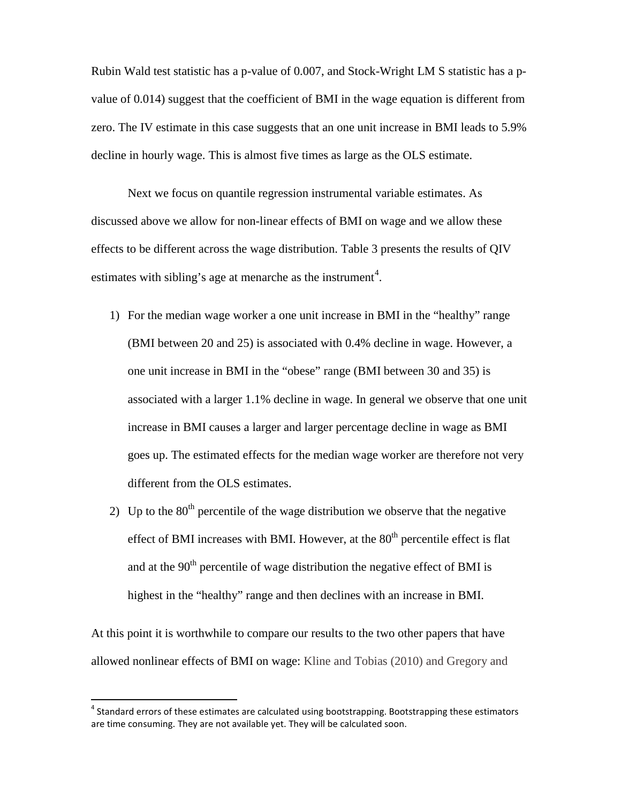Rubin Wald test statistic has a p-value of 0.007, and Stock-Wright LM S statistic has a pvalue of 0.014) suggest that the coefficient of BMI in the wage equation is different from zero. The IV estimate in this case suggests that an one unit increase in BMI leads to 5.9% decline in hourly wage. This is almost five times as large as the OLS estimate.

Next we focus on quantile regression instrumental variable estimates. As discussed above we allow for non-linear effects of BMI on wage and we allow these effects to be different across the wage distribution. Table 3 presents the results of QIV estimates with sibling's age at menarche as the instrument<sup>[4](#page-7-0)</sup>.

- 1) For the median wage worker a one unit increase in BMI in the "healthy" range (BMI between 20 and 25) is associated with 0.4% decline in wage. However, a one unit increase in BMI in the "obese" range (BMI between 30 and 35) is associated with a larger 1.1% decline in wage. In general we observe that one unit increase in BMI causes a larger and larger percentage decline in wage as BMI goes up. The estimated effects for the median wage worker are therefore not very different from the OLS estimates.
- 2) Up to the  $80<sup>th</sup>$  percentile of the wage distribution we observe that the negative effect of BMI increases with BMI. However, at the  $80<sup>th</sup>$  percentile effect is flat and at the  $90<sup>th</sup>$  percentile of wage distribution the negative effect of BMI is highest in the "healthy" range and then declines with an increase in BMI.

At this point it is worthwhile to compare our results to the two other papers that have allowed nonlinear effects of BMI on wage: Kline and Tobias (2010) and Gregory and

<span id="page-7-0"></span> $4$  Standard errors of these estimates are calculated using bootstrapping. Bootstrapping these estimators are time consuming. They are not available yet. They will be calculated soon.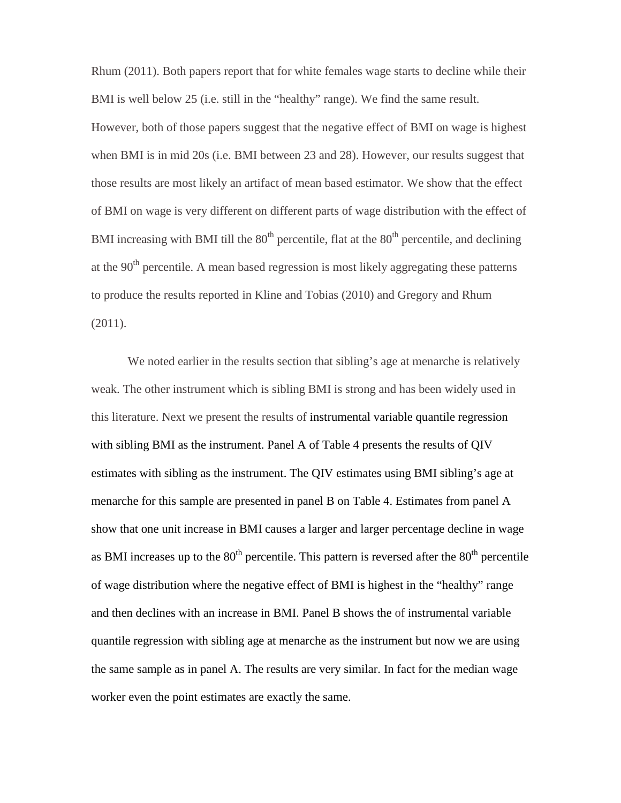Rhum (2011). Both papers report that for white females wage starts to decline while their BMI is well below 25 (i.e. still in the "healthy" range). We find the same result. However, both of those papers suggest that the negative effect of BMI on wage is highest when BMI is in mid 20s (i.e. BMI between 23 and 28). However, our results suggest that those results are most likely an artifact of mean based estimator. We show that the effect of BMI on wage is very different on different parts of wage distribution with the effect of BMI increasing with BMI till the  $80<sup>th</sup>$  percentile, flat at the  $80<sup>th</sup>$  percentile, and declining at the  $90<sup>th</sup>$  percentile. A mean based regression is most likely aggregating these patterns to produce the results reported in Kline and Tobias (2010) and Gregory and Rhum (2011).

We noted earlier in the results section that sibling's age at menarche is relatively weak. The other instrument which is sibling BMI is strong and has been widely used in this literature. Next we present the results of instrumental variable quantile regression with sibling BMI as the instrument. Panel A of Table 4 presents the results of QIV estimates with sibling as the instrument. The QIV estimates using BMI sibling's age at menarche for this sample are presented in panel B on Table 4. Estimates from panel A show that one unit increase in BMI causes a larger and larger percentage decline in wage as BMI increases up to the  $80<sup>th</sup>$  percentile. This pattern is reversed after the  $80<sup>th</sup>$  percentile of wage distribution where the negative effect of BMI is highest in the "healthy" range and then declines with an increase in BMI. Panel B shows the of instrumental variable quantile regression with sibling age at menarche as the instrument but now we are using the same sample as in panel A. The results are very similar. In fact for the median wage worker even the point estimates are exactly the same.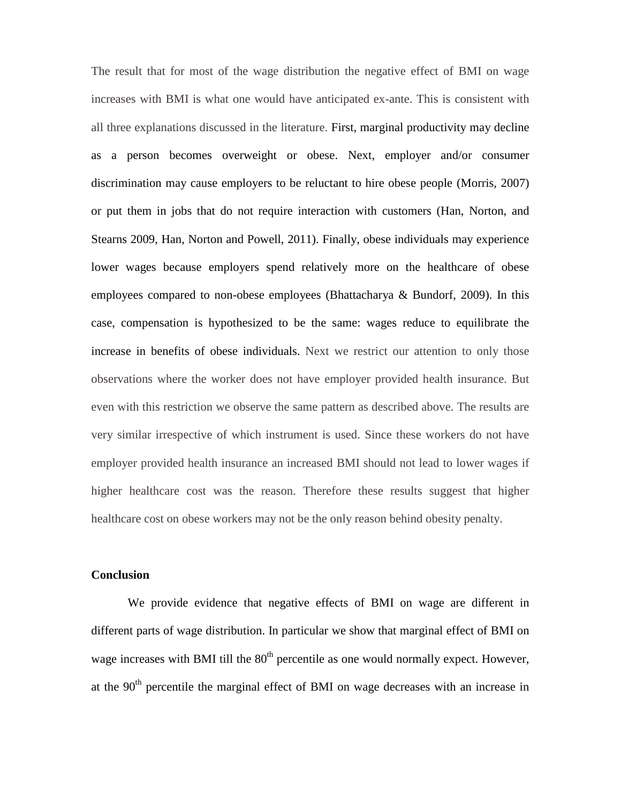The result that for most of the wage distribution the negative effect of BMI on wage increases with BMI is what one would have anticipated ex-ante. This is consistent with all three explanations discussed in the literature. First, marginal productivity may decline as a person becomes overweight or obese. Next, employer and/or consumer discrimination may cause employers to be reluctant to hire obese people (Morris, 2007) or put them in jobs that do not require interaction with customers (Han, Norton, and Stearns 2009, Han, Norton and Powell, 2011). Finally, obese individuals may experience lower wages because employers spend relatively more on the healthcare of obese employees compared to non-obese employees (Bhattacharya & Bundorf, 2009). In this case, compensation is hypothesized to be the same: wages reduce to equilibrate the increase in benefits of obese individuals. Next we restrict our attention to only those observations where the worker does not have employer provided health insurance. But even with this restriction we observe the same pattern as described above. The results are very similar irrespective of which instrument is used. Since these workers do not have employer provided health insurance an increased BMI should not lead to lower wages if higher healthcare cost was the reason. Therefore these results suggest that higher healthcare cost on obese workers may not be the only reason behind obesity penalty.

# **Conclusion**

We provide evidence that negative effects of BMI on wage are different in different parts of wage distribution. In particular we show that marginal effect of BMI on wage increases with BMI till the  $80<sup>th</sup>$  percentile as one would normally expect. However, at the  $90<sup>th</sup>$  percentile the marginal effect of BMI on wage decreases with an increase in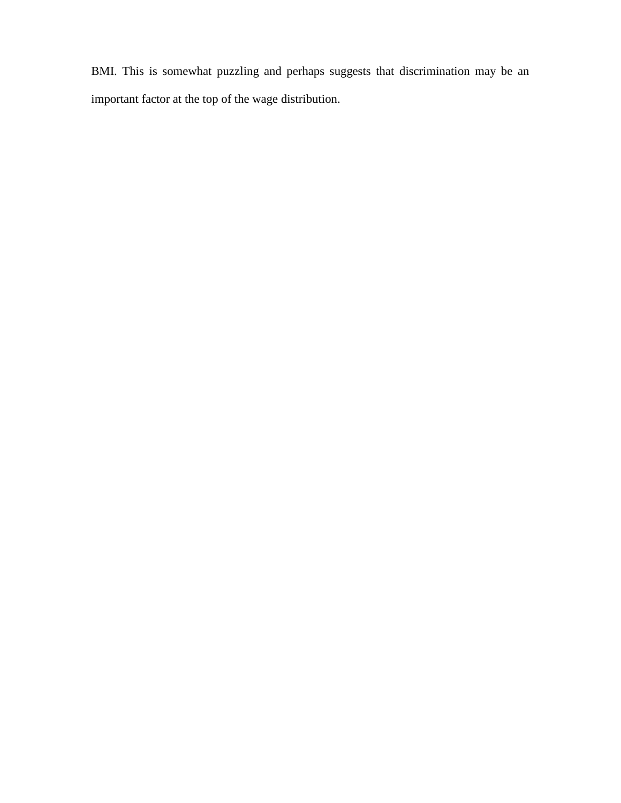BMI. This is somewhat puzzling and perhaps suggests that discrimination may be an important factor at the top of the wage distribution.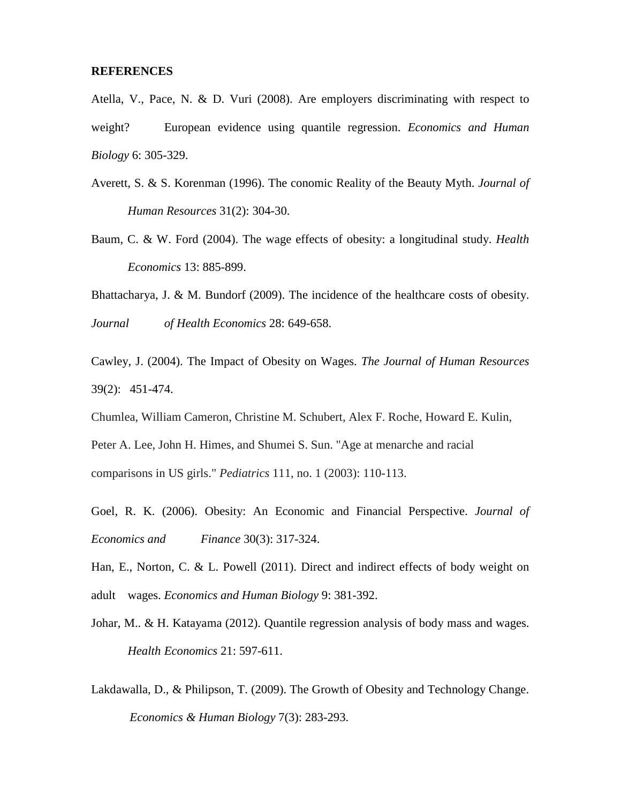#### **REFERENCES**

Atella, V., Pace, N. & D. Vuri (2008). Are employers discriminating with respect to weight? European evidence using quantile regression. *Economics and Human Biology* 6: 305-329.

- Averett, S. & S. Korenman (1996). The conomic Reality of the Beauty Myth. *Journal of Human Resources* 31(2): 304-30.
- Baum, C. & W. Ford (2004). The wage effects of obesity: a longitudinal study. *Health Economics* 13: 885-899.

Bhattacharya, J. & M. Bundorf (2009). The incidence of the healthcare costs of obesity. *Journal of Health Economics* 28: 649-658.

Cawley, J. (2004). The Impact of Obesity on Wages. *The Journal of Human Resources* 39(2): 451-474.

Chumlea, William Cameron, Christine M. Schubert, Alex F. Roche, Howard E. Kulin,

Peter A. Lee, John H. Himes, and Shumei S. Sun. "Age at menarche and racial comparisons in US girls." *Pediatrics* 111, no. 1 (2003): 110-113.

Goel, R. K. (2006). Obesity: An Economic and Financial Perspective. *Journal of Economics and Finance* 30(3): 317-324.

Han, E., Norton, C. & L. Powell (2011). Direct and indirect effects of body weight on adult wages. *Economics and Human Biology* 9: 381-392.

- Johar, M.. & H. Katayama (2012). Quantile regression analysis of body mass and wages. *Health Economics* 21: 597-611.
- Lakdawalla, D., & Philipson, T. (2009). The Growth of Obesity and Technology Change. *Economics & Human Biology* 7(3): 283-293.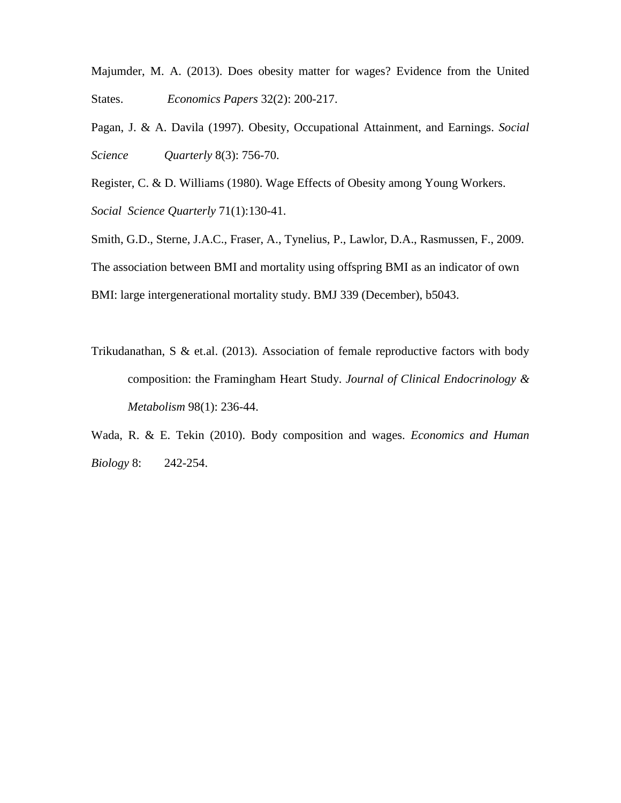Majumder, M. A. (2013). Does obesity matter for wages? Evidence from the United States. *Economics Papers* 32(2): 200-217.

Pagan, J. & A. Davila (1997). Obesity, Occupational Attainment, and Earnings. *Social Science Quarterly* 8(3): 756-70.

Register, C. & D. Williams (1980). Wage Effects of Obesity among Young Workers. *Social Science Quarterly* 71(1):130-41.

Smith, G.D., Sterne, J.A.C., Fraser, A., Tynelius, P., Lawlor, D.A., Rasmussen, F., 2009. The association between BMI and mortality using offspring BMI as an indicator of own BMI: large intergenerational mortality study. BMJ 339 (December), b5043.

Trikudanathan, S & et.al. (2013). Association of female reproductive factors with body composition: the Framingham Heart Study. *Journal of Clinical Endocrinology & Metabolism* 98(1): 236-44.

Wada, R. & E. Tekin (2010). Body composition and wages. *Economics and Human Biology* 8: 242-254.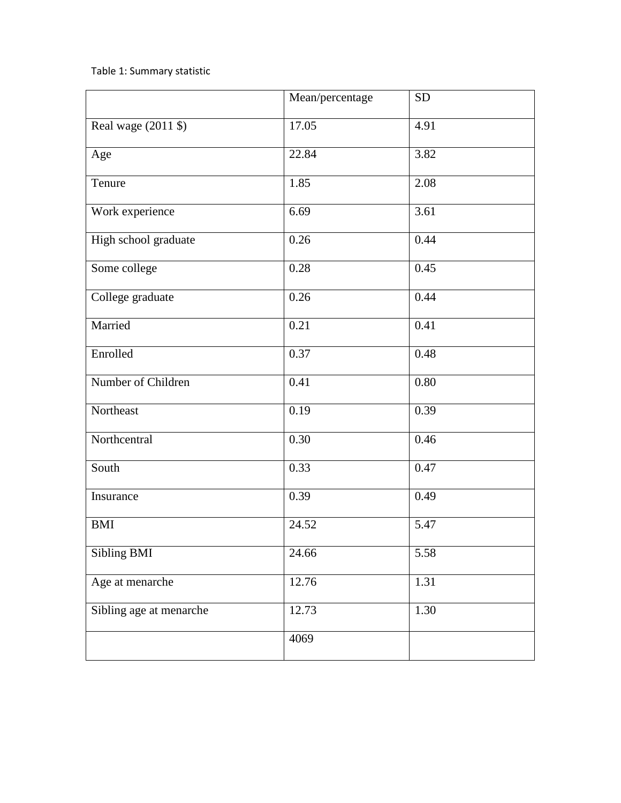# Table 1: Summary statistic

|                         | Mean/percentage | <b>SD</b> |
|-------------------------|-----------------|-----------|
| Real wage (2011 \$)     | 17.05           | 4.91      |
| Age                     | 22.84           | 3.82      |
| Tenure                  | 1.85            | 2.08      |
| Work experience         | 6.69            | 3.61      |
| High school graduate    | 0.26            | 0.44      |
| Some college            | 0.28            | 0.45      |
| College graduate        | 0.26            | 0.44      |
| Married                 | 0.21            | 0.41      |
| Enrolled                | 0.37            | 0.48      |
| Number of Children      | 0.41            | 0.80      |
| Northeast               | 0.19            | 0.39      |
| Northcentral            | 0.30            | 0.46      |
| South                   | 0.33            | 0.47      |
| Insurance               | 0.39            | 0.49      |
| <b>BMI</b>              | 24.52           | 5.47      |
| Sibling BMI             | 24.66           | 5.58      |
| Age at menarche         | 12.76           | 1.31      |
| Sibling age at menarche | 12.73           | 1.30      |
|                         | 4069            |           |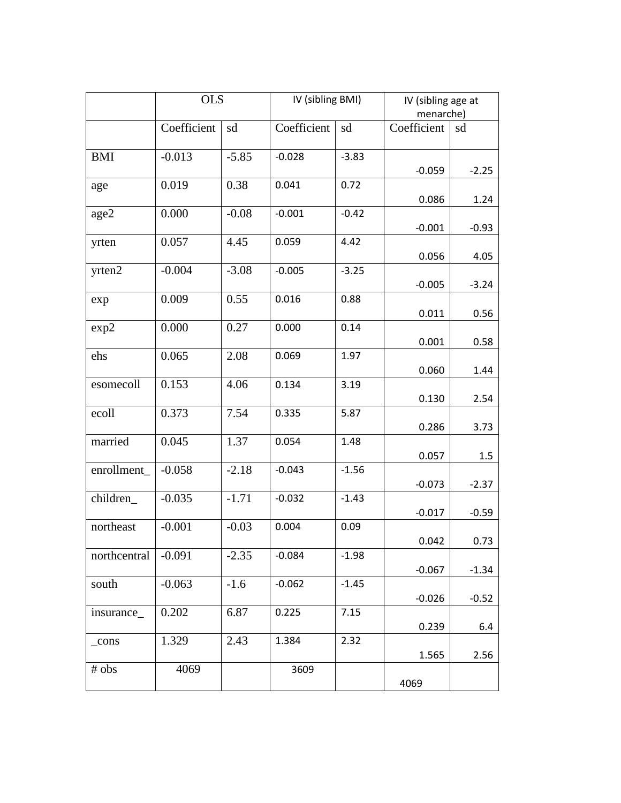|              | <b>OLS</b>  |         | IV (sibling BMI) |         | IV (sibling age at |         |  |
|--------------|-------------|---------|------------------|---------|--------------------|---------|--|
|              |             |         |                  |         | menarche)          |         |  |
|              | Coefficient | sd      | Coefficient      | sd      | Coefficient        | sd      |  |
| <b>BMI</b>   | $-0.013$    | $-5.85$ | $-0.028$         | $-3.83$ | $-0.059$           | $-2.25$ |  |
| age          | 0.019       | 0.38    | 0.041            | 0.72    | 0.086              | 1.24    |  |
| age2         | 0.000       | $-0.08$ | $-0.001$         | $-0.42$ | $-0.001$           | $-0.93$ |  |
| yrten        | 0.057       | 4.45    | 0.059            | 4.42    | 0.056              | 4.05    |  |
| yrten2       | $-0.004$    | $-3.08$ | $-0.005$         | $-3.25$ | $-0.005$           | $-3.24$ |  |
| exp          | 0.009       | 0.55    | 0.016            | 0.88    | 0.011              | 0.56    |  |
| exp2         | 0.000       | 0.27    | 0.000            | 0.14    | 0.001              | 0.58    |  |
| ehs          | 0.065       | 2.08    | 0.069            | 1.97    | 0.060              | 1.44    |  |
| esomecoll    | 0.153       | 4.06    | 0.134            | 3.19    | 0.130              | 2.54    |  |
| ecoll        | 0.373       | 7.54    | 0.335            | 5.87    | 0.286              | 3.73    |  |
| married      | 0.045       | 1.37    | 0.054            | 1.48    | 0.057              | 1.5     |  |
| enrollment_  | $-0.058$    | $-2.18$ | $-0.043$         | $-1.56$ | $-0.073$           | $-2.37$ |  |
| children_    | $-0.035$    | $-1.71$ | $-0.032$         | $-1.43$ | $-0.017$           | $-0.59$ |  |
| northeast    | $-0.001$    | $-0.03$ | 0.004            | 0.09    | 0.042              | 0.73    |  |
| northcentral | $-0.091$    | $-2.35$ | $-0.084$         | $-1.98$ | $-0.067$           | $-1.34$ |  |
| south        | $-0.063$    | $-1.6$  | $-0.062$         | $-1.45$ | $-0.026$           | $-0.52$ |  |
| insurance_   | 0.202       | 6.87    | 0.225            | 7.15    | 0.239              | 6.4     |  |
| $_{cons}$    | 1.329       | 2.43    | 1.384            | 2.32    | 1.565              | 2.56    |  |
| # obs        | 4069        |         | 3609             |         | 4069               |         |  |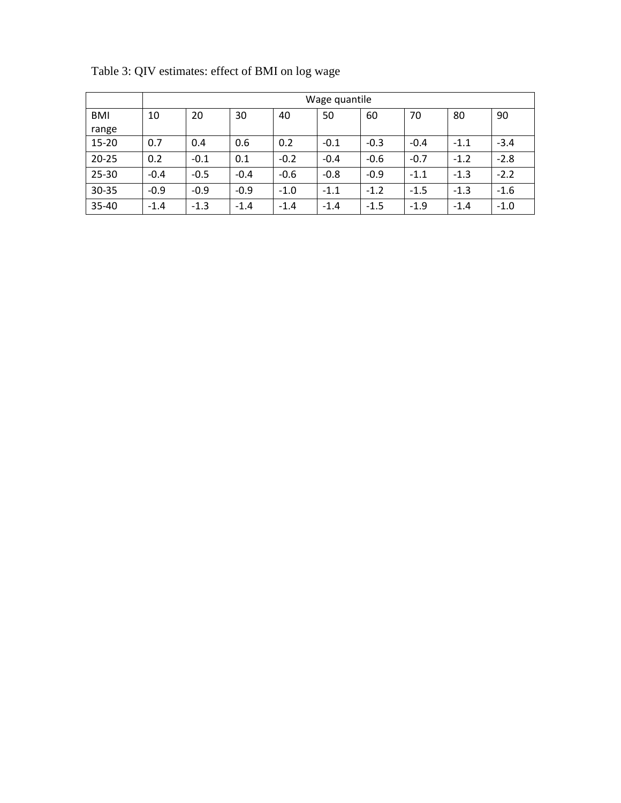|            | Wage quantile |        |        |        |        |        |        |        |        |
|------------|---------------|--------|--------|--------|--------|--------|--------|--------|--------|
| <b>BMI</b> | 10            | 20     | 30     | 40     | 50     | 60     | 70     | 80     | 90     |
| range      |               |        |        |        |        |        |        |        |        |
| $15 - 20$  | 0.7           | 0.4    | 0.6    | 0.2    | $-0.1$ | $-0.3$ | $-0.4$ | $-1.1$ | $-3.4$ |
| $20 - 25$  | 0.2           | $-0.1$ | 0.1    | $-0.2$ | $-0.4$ | $-0.6$ | $-0.7$ | $-1.2$ | $-2.8$ |
| $25 - 30$  | $-0.4$        | $-0.5$ | $-0.4$ | $-0.6$ | $-0.8$ | $-0.9$ | $-1.1$ | $-1.3$ | $-2.2$ |
| 30-35      | $-0.9$        | $-0.9$ | $-0.9$ | $-1.0$ | $-1.1$ | $-1.2$ | $-1.5$ | $-1.3$ | $-1.6$ |
| $35 - 40$  | $-1.4$        | $-1.3$ | $-1.4$ | $-1.4$ | $-1.4$ | $-1.5$ | $-1.9$ | $-1.4$ | $-1.0$ |

Table 3: QIV estimates: effect of BMI on log wage